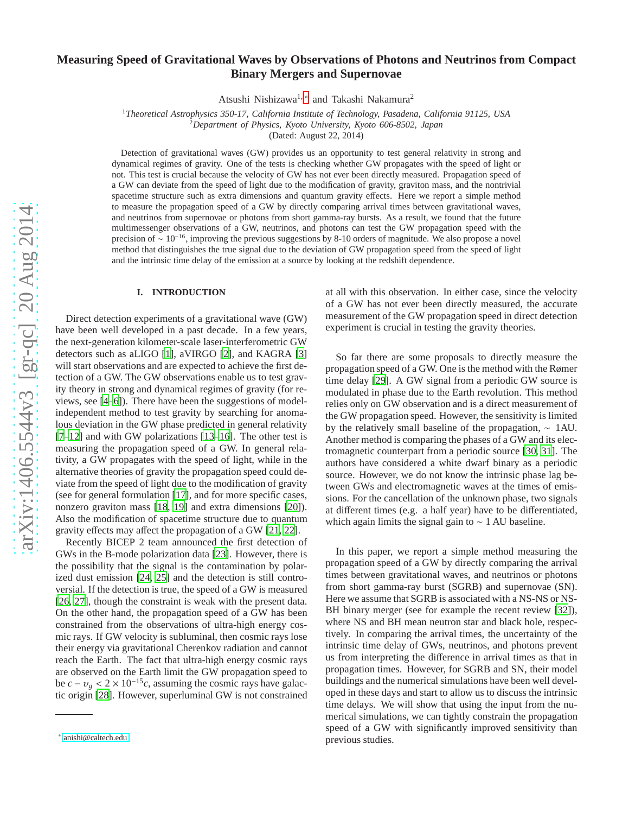# **Measuring Speed of Gravitational Waves by Observations of Photons and Neutrinos from Compact Binary Mergers and Supernovae**

Atsushi Nishizawa<sup>1,\*</sup> and Takashi Nakamura<sup>2</sup>

<sup>1</sup>*Theoretical Astrophysics 350-17, California Institute of Technology, Pasadena, California 91125, USA* <sup>2</sup>*Department of Physics, Kyoto University, Kyoto 606-8502, Japan*

(Dated: August 22, 2014)

Detection of gravitational waves (GW) provides us an opportunity to test general relativity in strong and dynamical regimes of gravity. One of the tests is checking whether GW propagates with the speed of light or not. This test is crucial because the velocity of GW has not ever been directly measured. Propagation speed of a GW can deviate from the speed of light due to the modification of gravity, graviton mass, and the nontrivial spacetime structure such as extra dimensions and quantum gravity e ffects. Here we report a simple method to measure the propagation speed of a GW by directly comparing arrival times between gravitational waves, and neutrinos from supernovae or photons from short gamma-ray bursts. As a result, we found that the future multimessenger observations of a GW, neutrinos, and photons can test the GW propagation speed with the precision of  $\sim 10^{-16}$ , improving the previous suggestions by 8-10 orders of magnitude. We also propose a novel method that distinguishes the true signal due to the deviation of GW propagation speed from the speed of light and the intrinsic time delay of the emission at a source by looking at the redshift dependence.

# **I. INTRODUCTION**

Direct detection experiments of a gravitational wave (GW) have been well developed in a past decade. In a few years, the next-generation kilometer-scale laser-interferometric GW detectors such as aLIGO [\[1\]](#page-6-0), aVIRGO [\[2\]](#page-6-1), and KAGRA [\[3\]](#page-6-2) will start observations and are expected to achieve the first detection of a GW. The GW observations enable us to test gravity theory in strong and dynamical regimes of gravity (for reviews, see [\[4](#page-6-3)[–6\]](#page-6-4)). There have been the suggestions of modelindependent method to test gravity by searching for anomalous deviation in the GW phase predicted in general relativity [\[7](#page-6-5)[–12](#page-6-6)] and with GW polarizations [\[13](#page-6-7)[–16\]](#page-6-8). The other test is measuring the propagation speed of a GW. In general relativity, a GW propagates with the speed of light, while in the alternative theories of gravity the propagation speed could deviate from the speed of light due to the modification of gravity (see for general formulation [\[17\]](#page-6-9), and for more specific cases, nonzero graviton mass [\[18](#page-6-10), [19](#page-6-11)] and extra dimensions [\[20\]](#page-6-12)). Also the modification of spacetime structure due to quantum gravity e ffects may a ffect the propagation of a GW [\[21,](#page-6-13) [22\]](#page-6-14).

Recently BICEP 2 team announced the first detection of GWs in the B-mode polarization data [\[23\]](#page-6-15). However, there is the possibility that the signal is the contamination by polarized dust emission [\[24](#page-6-16), [25\]](#page-6-17) and the detection is still controversial. If the detection is true, the speed of a GW is measured [\[26](#page-6-18), [27\]](#page-6-19), though the constraint is weak with the present data. On the other hand, the propagation speed of a GW has been constrained from the observations of ultra-high energy cos mic rays. If GW velocity is subluminal, then cosmic rays lose their energy via gravitational Cherenkov radiation and cannot reach the Earth. The fact that ultra-high energy cosmic rays are observed on the Earth limit the GW propagation speed to be  $c - v_g < 2 \times 10^{-15}c$ , assuming the cosmic rays have galactic origin [\[28\]](#page-6-20). However, superluminal GW is not constrained

at all with this observation. In either case, since the velocity of a GW has not ever been directly measured, the accurate measurement of the GW propagation speed in direct detection experiment is crucial in testing the gravity theories.

So far there are some proposals to directly measure the propagation speed of a GW. One is the method with the Rømer time delay [\[29\]](#page-6-21). A GW signal from a periodic GW source is modulated in phase due to the Earth revolution. This method relies only on GW observation and is a direct measurement of the GW propagation speed. However, the sensitivity is limited by the relatively small baseline of the propagation, ∼ 1AU. Another method is comparing the phases of a GW and its electromagnetic counterpart from a periodic source [\[30,](#page-6-22) [31](#page-6-23)]. The authors have considered a white dwarf binary as a periodic source. However, we do not know the intrinsic phase lag between GWs and electromagnetic waves at the times of emissions. For the cancellation of the unknown phase, two signals at di fferent times (e.g. a half year) have to be di fferentiated, which again limits the signal gain to  $\sim$  1 AU baseline.

In this paper, we report a simple method measuring the propagation speed of a GW by directly comparing the arrival times between gravitational waves, and neutrinos or photon s from short gamma-ray burst (SGRB) and supernovae (SN). Here we assume that SGRB is associated with a NS-NS or NS-BH binary merger (see for example the recent review [\[32\]](#page-6-24)), where NS and BH mean neutron star and black hole, respectively. In comparing the arrival times, the uncertainty of the intrinsic time delay of GWs, neutrinos, and photons prevent us from interpreting the di fference in arrival times as that in propagation times. However, for SGRB and SN, their model buildings and the numerical simulations have been well developed in these days and start to allow us to discuss the intrinsic time delays. We will show that using the input from the numerical simulations, we can tightly constrain the propagation speed of a GW with significantly improved sensitivity than previous studies.

<span id="page-0-0"></span><sup>∗</sup> [anishi@caltech.edu](mailto:anishi@caltech.edu)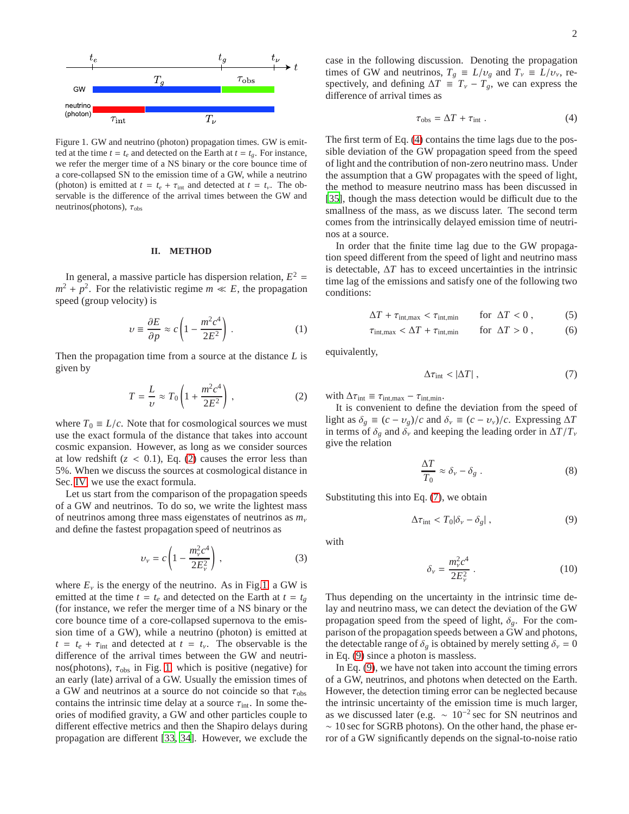

<span id="page-1-1"></span>Figure 1. GW and neutrino (photon) propagation times. GW is emitted at the time  $t = t_e$  and detected on the Earth at  $t = t_g$ . For instance, we refer the merger time of a NS binary or the core bounce time of a core-collapsed SN to the emission time of a GW, while a neutrino (photon) is emitted at  $t = t_e + \tau_{int}$  and detected at  $t = t_v$ . The observable is the difference of the arrival times between the GW and neutrinos(photons),  $\tau_{obs}$ 

#### **II. METHOD**

In general, a massive particle has dispersion relation,  $E^2 =$  $m^2 + p^2$ . For the relativistic regime  $m \ll E$ , the propagation speed (group velocity) is

<span id="page-1-6"></span>
$$
\upsilon \equiv \frac{\partial E}{\partial p} \approx c \left( 1 - \frac{m^2 c^4}{2E^2} \right) . \tag{1}
$$

Then the propagation time from a source at the distance *L* is given by

<span id="page-1-0"></span>
$$
T = \frac{L}{\nu} \approx T_0 \left( 1 + \frac{m^2 c^4}{2E^2} \right) ,\qquad (2)
$$

where  $T_0 \equiv L/c$ . Note that for cosmological sources we must use the exact formula of the distance that takes into account cosmic expansion. However, as long as we consider sources at low redshift  $(z < 0.1)$ , Eq. [\(2\)](#page-1-0) causes the error less than 5%. When we discuss the sources at cosmological distance in Sec. [IV,](#page-4-0) we use the exact formula.

Let us start from the comparison of the propagation speeds of a GW and neutrinos. To do so, we write the lightest mass of neutrinos among three mass eigenstates of neutrinos as *m*<sup>ν</sup> and define the fastest propagation speed of neutrinos as

$$
v_{\nu} = c \left( 1 - \frac{m_{\nu}^2 c^4}{2E_{\nu}^2} \right), \qquad (3)
$$

where  $E<sub>v</sub>$  is the energy of the neutrino. As in Fig[.1,](#page-1-1) a GW is emitted at the time  $t = t_e$  and detected on the Earth at  $t = t_g$ (for instance, we refer the merger time of a NS binary or the core bounce time of a core-collapsed supernova to the emission time of a GW), while a neutrino (photon) is emitted at  $t = t_e + \tau_{int}$  and detected at  $t = t_v$ . The observable is the difference of the arrival times between the GW and neutrinos(photons),  $\tau_{obs}$  in Fig. [1,](#page-1-1) which is positive (negative) for an early (late) arrival of a GW. Usually the emission times of a GW and neutrinos at a source do not coincide so that  $\tau_{obs}$ contains the intrinsic time delay at a source  $\tau_{int}$ . In some theories of modified gravity, a GW and other particles couple to different effective metrics and then the Shapiro delays during propagation are different [\[33](#page-6-25), [34\]](#page-6-26). However, we exclude the

case in the following discussion. Denoting the propagation times of GW and neutrinos,  $T_g \equiv L/v_g$  and  $T_v \equiv L/v_v$ , respectively, and defining  $\Delta T \equiv T_{\nu} - T_{g}$ , we can express the difference of arrival times as

<span id="page-1-2"></span>
$$
\tau_{\rm obs} = \Delta T + \tau_{\rm int} \ . \tag{4}
$$

The first term of Eq. [\(4\)](#page-1-2) contains the time lags due to the possible deviation of the GW propagation speed from the speed of light and the contribution of non-zero neutrino mass. Under the assumption that a GW propagates with the speed of light, the method to measure neutrino mass has been discussed in [\[35](#page-6-27)], though the mass detection would be difficult due to the smallness of the mass, as we discuss later. The second term comes from the intrinsically delayed emission time of neutrinos at a source.

In order that the finite time lag due to the GW propagation speed different from the speed of light and neutrino mass is detectable, ∆*T* has to exceed uncertainties in the intrinsic time lag of the emissions and satisfy one of the following two conditions:

$$
\Delta T + \tau_{\text{int,max}} < \tau_{\text{int,min}} \qquad \text{for } \Delta T < 0 \,, \tag{5}
$$

$$
\tau_{\text{int,max}} < \Delta T + \tau_{\text{int,min}} \qquad \text{for } \Delta T > 0 \,, \tag{6}
$$

equivalently,

<span id="page-1-3"></span>
$$
\Delta \tau_{\rm int} < |\Delta T| \,, \tag{7}
$$

with  $\Delta \tau_{\text{int}} \equiv \tau_{\text{int,max}} - \tau_{\text{int,min}}$ .

It is convenient to define the deviation from the speed of light as  $\delta_g \equiv (c - v_g)/c$  and  $\delta_v \equiv (c - v_v)/c$ . Expressing  $\Delta T$ in terms of  $\delta_g$  and  $\delta_v$  and keeping the leading order in  $\Delta T/T_v$ give the relation

<span id="page-1-7"></span>
$$
\frac{\Delta T}{T_0} \approx \delta_{\nu} - \delta_{g} . \tag{8}
$$

Substituting this into Eq. [\(7\)](#page-1-3), we obtain

<span id="page-1-4"></span>
$$
\Delta \tau_{\rm int} < T_0 | \delta_\nu - \delta_g | \,, \tag{9}
$$

with

<span id="page-1-5"></span>
$$
\delta_{\nu} = \frac{m_{\nu}^2 c^4}{2E_{\nu}^2} \,. \tag{10}
$$

Thus depending on the uncertainty in the intrinsic time delay and neutrino mass, we can detect the deviation of the GW propagation speed from the speed of light,  $\delta_{g}$ . For the comparison of the propagation speeds between a GW and photons, the detectable range of  $\delta_g$  is obtained by merely setting  $\delta_v = 0$ in Eq. [\(9\)](#page-1-4) since a photon is massless.

In Eq. [\(9\)](#page-1-4), we have not taken into account the timing errors of a GW, neutrinos, and photons when detected on the Earth. However, the detection timing error can be neglected because the intrinsic uncertainty of the emission time is much larger, as we discussed later (e.g.  $\sim 10^{-2}$  sec for SN neutrinos and ∼ 10 sec for SGRB photons). On the other hand, the phase error of a GW significantly depends on the signal-to-noise ratio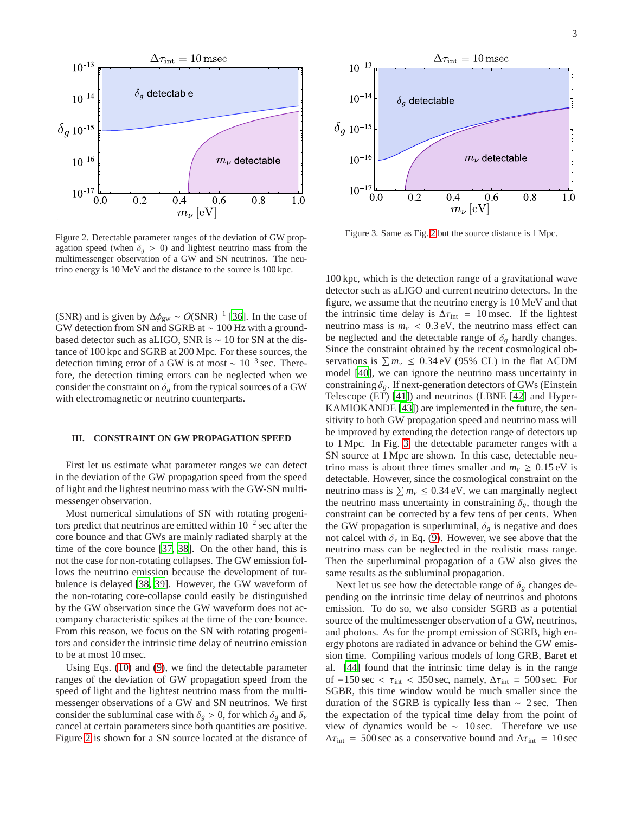

<span id="page-2-0"></span>Figure 2. Detectable parameter ranges of the deviation of GW propagation speed (when  $\delta_g > 0$ ) and lightest neutrino mass from the multimessenger observation of a GW and SN neutrinos. The neutrino energy is 10 MeV and the distance to the source is 100 kpc.

(SNR) and is given by  $\Delta \phi_{gw} \sim O(SNR)^{-1}$  [\[36](#page-6-28)]. In the case of GW detection from SN and SGRB at ∼ 100 Hz with a groundbased detector such as aLIGO, SNR is ∼ 10 for SN at the distance of 100 kpc and SGRB at 200 Mpc. For these sources, the detection timing error of a GW is at most  $\sim 10^{-3}$  sec. Therefore, the detection timing errors can be neglected when we consider the constraint on  $\delta_g$  from the typical sources of a GW with electromagnetic or neutrino counterparts.

# <span id="page-2-2"></span>**III. CONSTRAINT ON GW PROPAGATION SPEED**

First let us estimate what parameter ranges we can detect in the deviation of the GW propagation speed from the speed of light and the lightest neutrino mass with the GW-SN multimessenger observation.

Most numerical simulations of SN with rotating progenitors predict that neutrinos are emitted within 10−<sup>2</sup> sec after the core bounce and that GWs are mainly radiated sharply at the time of the core bounce [\[37,](#page-6-29) [38\]](#page-6-30). On the other hand, this is not the case for non-rotating collapses. The GW emission follows the neutrino emission because the development of turbulence is delayed [\[38](#page-6-30), [39\]](#page-6-31). However, the GW waveform of the non-rotating core-collapse could easily be distinguished by the GW observation since the GW waveform does not accompany characteristic spikes at the time of the core bounce. From this reason, we focus on the SN with rotating progenitors and consider the intrinsic time delay of neutrino emission to be at most 10 msec.

Using Eqs. [\(10\)](#page-1-5) and [\(9\)](#page-1-4), we find the detectable parameter ranges of the deviation of GW propagation speed from the speed of light and the lightest neutrino mass from the multimessenger observations of a GW and SN neutrinos. We first consider the subluminal case with  $\delta_g > 0$ , for which  $\delta_g$  and  $\delta_v$ cancel at certain parameters since both quantities are positive. Figure [2](#page-2-0) is shown for a SN source located at the distance of



<span id="page-2-1"></span>Figure 3. Same as Fig. [2](#page-2-0) but the source distance is 1 Mpc.

100 kpc, which is the detection range of a gravitational wave detector such as aLIGO and current neutrino detectors. In the figure, we assume that the neutrino energy is 10 MeV and that the intrinsic time delay is  $\Delta \tau_{\text{int}} = 10$  msec. If the lightest neutrino mass is  $m<sub>v</sub> < 0.3$  eV, the neutrino mass effect can be neglected and the detectable range of  $\delta_g$  hardly changes. Since the constraint obtained by the recent cosmological observations is  $\sum m_{\nu} \leq 0.34 \text{ eV}$  (95% CL) in the flat  $\Lambda$ CDM model [\[40\]](#page-6-32), we can ignore the neutrino mass uncertainty in constraining  $\delta_{\varrho}$ . If next-generation detectors of GWs (Einstein Telescope (ET) [\[41\]](#page-6-33)) and neutrinos (LBNE [\[42\]](#page-6-34) and Hyper-KAMIOKANDE [\[43](#page-6-35)]) are implemented in the future, the sensitivity to both GW propagation speed and neutrino mass will be improved by extending the detection range of detectors up to 1 Mpc. In Fig. [3,](#page-2-1) the detectable parameter ranges with a SN source at 1 Mpc are shown. In this case, detectable neutrino mass is about three times smaller and  $m_v \geq 0.15 \text{ eV}$  is detectable. However, since the cosmological constraint on the neutrino mass is  $\sum m_\nu \leq 0.34 \text{ eV}$ , we can marginally neglect the neutrino mass uncertainty in constraining  $\delta_g$ , though the constraint can be corrected by a few tens of per cents. When the GW propagation is superluminal,  $\delta_g$  is negative and does not calcel with  $\delta_{\nu}$  in Eq. [\(9\)](#page-1-4). However, we see above that the neutrino mass can be neglected in the realistic mass range. Then the superluminal propagation of a GW also gives the same results as the subluminal propagation.

Next let us see how the detectable range of  $\delta_g$  changes depending on the intrinsic time delay of neutrinos and photons emission. To do so, we also consider SGRB as a potential source of the multimessenger observation of a GW, neutrinos, and photons. As for the prompt emission of SGRB, high energy photons are radiated in advance or behind the GW emission time. Compiling various models of long GRB, Baret et al. [\[44\]](#page-6-36) found that the intrinsic time delay is in the range of  $-150 \text{ sec} < \tau_{\text{int}} < 350 \text{ sec}$ , namely,  $\Delta \tau_{\text{int}} = 500 \text{ sec}$ . For SGBR, this time window would be much smaller since the duration of the SGRB is typically less than  $\sim$  2 sec. Then the expectation of the typical time delay from the point of view of dynamics would be ∼ 10 sec. Therefore we use  $\Delta \tau_{\text{int}}$  = 500 sec as a conservative bound and  $\Delta \tau_{\text{int}}$  = 10 sec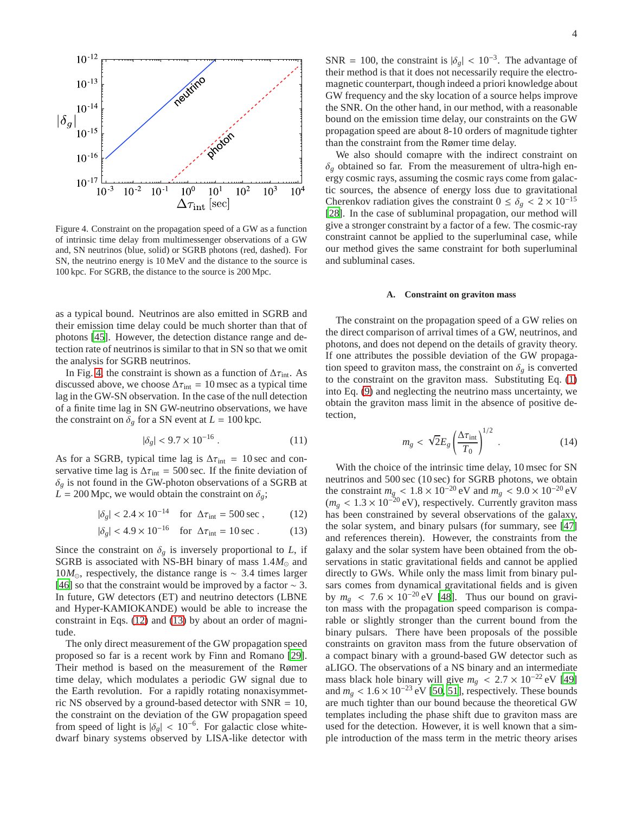

<span id="page-3-0"></span>Figure 4. Constraint on the propagation speed of a GW as a function of intrinsic time delay from multimessenger observations of a GW and, SN neutrinos (blue, solid) or SGRB photons (red, dashed). For SN, the neutrino energy is 10 MeV and the distance to the source is 100 kpc. For SGRB, the distance to the source is 200 Mpc.

as a typical bound. Neutrinos are also emitted in SGRB and their emission time delay could be much shorter than that of photons [\[45\]](#page-6-37). However, the detection distance range and detection rate of neutrinos is similar to that in SN so that we omit the analysis for SGRB neutrinos.

In Fig. [4,](#page-3-0) the constraint is shown as a function of  $\Delta \tau_{\text{int}}$ . As discussed above, we choose  $\Delta \tau_{\text{int}} = 10$  msec as a typical time lag in the GW-SN observation. In the case of the null detection of a finite time lag in SN GW-neutrino observations, we have the constraint on  $\delta_g$  for a SN event at  $L = 100$  kpc.

$$
|\delta_g| < 9.7 \times 10^{-16} \tag{11}
$$

As for a SGRB, typical time lag is  $\Delta \tau_{\text{int}} = 10 \text{ sec}$  and conservative time lag is  $\Delta \tau_{\text{int}} = 500 \text{ sec}$ . If the finite deviation of  $\delta_g$  is not found in the GW-photon observations of a SGRB at  $L = 200$  Mpc, we would obtain the constraint on  $\delta_{\varrho}$ ;

$$
|\delta_g|
$$
 < 2.4 × 10<sup>-14</sup> for  $\Delta \tau_{\text{int}}$  = 500 sec, (12)

$$
|\delta_g|
$$
 < 4.9 × 10<sup>-16</sup> for  $\Delta \tau_{\text{int}} = 10 \text{ sec}$ . (13)

Since the constraint on  $\delta_g$  is inversely proportional to *L*, if SGRB is associated with NS-BH binary of mass  $1.4M_{\odot}$  and 10*M*⊙, respectively, the distance range is ∼ 3.4 times larger [\[46](#page-7-0)] so that the constraint would be improved by a factor  $\sim$  3. In future, GW detectors (ET) and neutrino detectors (LBNE and Hyper-KAMIOKANDE) would be able to increase the constraint in Eqs. [\(12\)](#page-3-1) and [\(13\)](#page-3-2) by about an order of magnitude.

The only direct measurement of the GW propagation speed proposed so far is a recent work by Finn and Romano [\[29](#page-6-21)]. Their method is based on the measurement of the Rømer time delay, which modulates a periodic GW signal due to the Earth revolution. For a rapidly rotating nonaxisymmetric NS observed by a ground-based detector with SNR = 10, the constraint on the deviation of the GW propagation speed from speed of light is  $|\delta_g| < 10^{-6}$ . For galactic close whitedwarf binary systems observed by LISA-like detector with

SNR = 100, the constraint is  $|\delta_g| < 10^{-3}$ . The advantage of their method is that it does not necessarily require the electromagnetic counterpart, though indeed a priori knowledge about GW frequency and the sky location of a source helps improve the SNR. On the other hand, in our method, with a reasonable bound on the emission time delay, our constraints on the GW propagation speed are about 8-10 orders of magnitude tighter than the constraint from the Rømer time delay.

We also should comapre with the indirect constraint on  $\delta_g$  obtained so far. From the measurement of ultra-high energy cosmic rays, assuming the cosmic rays come from galactic sources, the absence of energy loss due to gravitational Cherenkov radiation gives the constraint  $0 \le \delta_g < 2 \times 10^{-15}$ [\[28](#page-6-20)]. In the case of subluminal propagation, our method will give a stronger constraint by a factor of a few. The cosmic-ray constraint cannot be applied to the superluminal case, while our method gives the same constraint for both superluminal and subluminal cases.

#### **A. Constraint on graviton mass**

The constraint on the propagation speed of a GW relies on the direct comparison of arrival times of a GW, neutrinos, and photons, and does not depend on the details of gravity theory. If one attributes the possible deviation of the GW propagation speed to graviton mass, the constraint on  $\delta_g$  is converted to the constraint on the graviton mass. Substituting Eq. [\(1\)](#page-1-6) into Eq. [\(9\)](#page-1-4) and neglecting the neutrino mass uncertainty, we obtain the graviton mass limit in the absence of positive detection,

$$
m_g < \sqrt{2}E_g \left(\frac{\Delta \tau_{\text{int}}}{T_0}\right)^{1/2} \tag{14}
$$

<span id="page-3-2"></span><span id="page-3-1"></span>With the choice of the intrinsic time delay, 10 msec for SN neutrinos and 500 sec (10 sec) for SGRB photons, we obtain the constraint  $m_{g} < 1.8 \times 10^{-20}$  eV and  $m_{g} < 9.0 \times 10^{-20}$  eV  $(m_g < 1.3 \times 10^{-20} \text{ eV})$ , respectively. Currently graviton mass has been constrained by several observations of the galaxy, the solar system, and binary pulsars (for summary, see [\[47\]](#page-7-1) and references therein). However, the constraints from the galaxy and the solar system have been obtained from the observations in static gravitational fields and cannot be applied directly to GWs. While only the mass limit from binary pulsars comes from dynamical gravitational fields and is given by  $m_g$  < 7.6 × 10<sup>-20</sup> eV [\[48](#page-7-2)]. Thus our bound on graviton mass with the propagation speed comparison is comparable or slightly stronger than the current bound from the binary pulsars. There have been proposals of the possible constraints on graviton mass from the future observation of a compact binary with a ground-based GW detector such as aLIGO. The observations of a NS binary and an intermediate mass black hole binary will give  $m_g < 2.7 \times 10^{-22}$  eV [\[49\]](#page-7-3) and  $m_g$  <  $1.6 \times 10^{-23}$  eV [\[50](#page-7-4), [51](#page-7-5)], respectively. These bounds are much tighter than our bound because the theoretical GW templates including the phase shift due to graviton mass are used for the detection. However, it is well known that a simple introduction of the mass term in the metric theory arises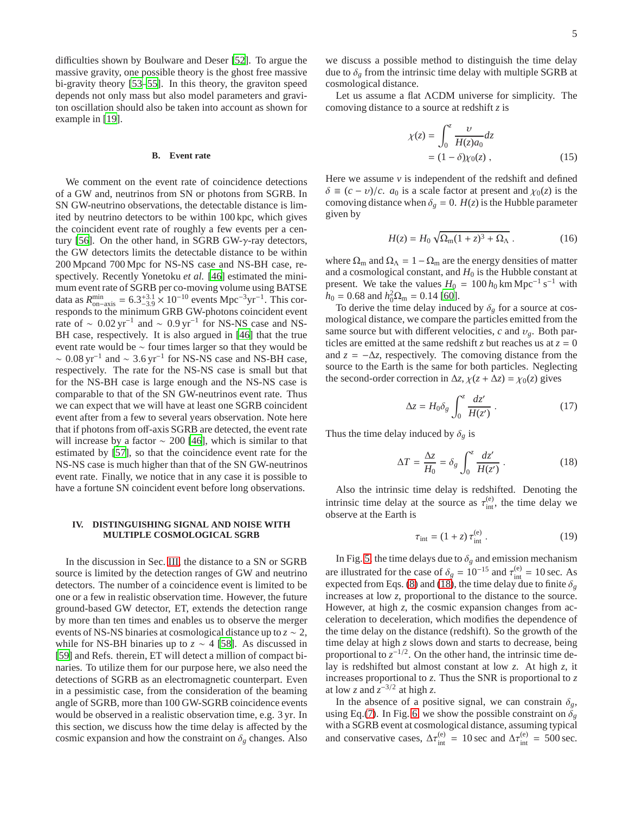difficulties shown by Boulware and Deser [\[52\]](#page-7-6). To argue the massive gravity, one possible theory is the ghost free massive bi-gravity theory [\[53](#page-7-7)[–55](#page-7-8)]. In this theory, the graviton speed depends not only mass but also model parameters and graviton oscillation should also be taken into account as shown for example in [\[19\]](#page-6-11).

# **B. Event rate**

We comment on the event rate of coincidence detections of a GW and, neutrinos from SN or photons from SGRB. In SN GW-neutrino observations, the detectable distance is limited by neutrino detectors to be within 100 kpc, which gives the coincident event rate of roughly a few events per a cen-tury [\[56\]](#page-7-9). On the other hand, in SGRB GW- $\gamma$ -ray detectors, the GW detectors limits the detectable distance to be within 200 Mpcand 700 Mpc for NS-NS case and NS-BH case, respectively. Recently Yonetoku *et al.* [\[46\]](#page-7-0) estimated the minimum event rate of SGRB per co-moving volume using BATSE data as  $R_{\text{min}}^{\text{min}} = 6.3^{+3.1}_{-3.9} \times 10^{-10}$  events Mpc<sup>-3</sup>yr<sup>-1</sup>. This cor-<br>present data the minimum CDD CW abstrace eximinating spectrum responds to the minimum GRB GW-photons coincident event rate of  $\sim 0.02 \,\text{yr}^{-1}$  and  $\sim 0.9 \,\text{yr}^{-1}$  for NS-NS case and NS-BH case, respectively. It is also argued in [\[46](#page-7-0)] that the true event rate would be ∼ four times larger so that they would be  $\sim 0.08 \,\text{yr}^{-1}$  and  $\sim 3.6 \,\text{yr}^{-1}$  for NS-NS case and NS-BH case, respectively. The rate for the NS-NS case is small but that for the NS-BH case is large enough and the NS-NS case is comparable to that of the SN GW-neutrinos event rate. Thus we can expect that we will have at least one SGRB coincident event after from a few to several years observation. Note here that if photons from off-axis SGRB are detected, the event rate will increase by a factor  $\sim 200$  [\[46\]](#page-7-0), which is similar to that estimated by [\[57](#page-7-10)], so that the coincidence event rate for the NS-NS case is much higher than that of the SN GW-neutrinos event rate. Finally, we notice that in any case it is possible to have a fortune SN coincident event before long observations.

# <span id="page-4-0"></span>**IV. DISTINGUISHING SIGNAL AND NOISE WITH MULTIPLE COSMOLOGICAL SGRB**

In the discussion in Sec. [III,](#page-2-2) the distance to a SN or SGRB source is limited by the detection ranges of GW and neutrino detectors. The number of a coincidence event is limited to be one or a few in realistic observation time. However, the future ground-based GW detector, ET, extends the detection range by more than ten times and enables us to observe the merger events of NS-NS binaries at cosmological distance up to *z* ∼ 2, while for NS-BH binaries up to  $z \sim 4$  [\[58\]](#page-7-11). As discussed in [\[59](#page-7-12)] and Refs. therein, ET will detect a million of compact binaries. To utilize them for our purpose here, we also need the detections of SGRB as an electromagnetic counterpart. Even in a pessimistic case, from the consideration of the beaming angle of SGRB, more than 100 GW-SGRB coincidence events would be observed in a realistic observation time, e.g. 3 yr. In this section, we discuss how the time delay is affected by the cosmic expansion and how the constraint on  $\delta_g$  changes. Also

we discuss a possible method to distinguish the time delay due to  $\delta_g$  from the intrinsic time delay with multiple SGRB at cosmological distance.

Let us assume a flat ΛCDM universe for simplicity. The comoving distance to a source at redshift *z* is

$$
\chi(z) = \int_0^z \frac{\nu}{H(z)a_0} dz
$$
  
=  $(1 - \delta)\chi_0(z)$ , (15)

Here we assume *v* is independent of the redshift and defined  $\delta \equiv (c - v)/c$ . *a*<sub>0</sub> is a scale factor at present and  $\chi_0(z)$  is the comoving distance when  $\delta_g = 0$ .  $H(z)$  is the Hubble parameter given by

$$
H(z) = H_0 \sqrt{\Omega_{\rm m} (1+z)^3 + \Omega_{\Lambda}} \,. \tag{16}
$$

where  $\Omega_{\rm m}$  and  $\Omega_{\Lambda} = 1 - \Omega_{\rm m}$  are the energy densities of matter and a cosmological constant, and  $H_0$  is the Hubble constant at present. We take the values  $H_0 = 100 h_0 \text{ km Mpc}^{-1} \text{ s}^{-1}$  with  $h_0 = 0.68$  and  $h_0^2 \Omega_m = 0.14$  [\[60](#page-7-13)].

To derive the time delay induced by  $\delta_g$  for a source at cosmological distance, we compare the particles emitted from the same source but with different velocities,  $c$  and  $v_g$ . Both particles are emitted at the same redshift *z* but reaches us at  $z = 0$ and  $z = -\Delta z$ , respectively. The comoving distance from the source to the Earth is the same for both particles. Neglecting the second-order correction in  $\Delta z$ ,  $\chi(z + \Delta z) = \chi_0(z)$  gives

$$
\Delta z = H_0 \delta_g \int_0^z \frac{dz'}{H(z')} \,. \tag{17}
$$

Thus the time delay induced by  $\delta_g$  is

<span id="page-4-1"></span>
$$
\Delta T = \frac{\Delta z}{H_0} = \delta_g \int_0^z \frac{dz'}{H(z')} \,. \tag{18}
$$

Also the intrinsic time delay is redshifted. Denoting the intrinsic time delay at the source as  $\tau_{\text{int}}^{(e)}$ , the time delay we observe at the Earth is

$$
\tau_{\text{int}} = (1+z)\,\tau_{\text{int}}^{(e)}\,. \tag{19}
$$

In Fig. [5,](#page-5-0) the time delays due to  $\delta_g$  and emission mechanism are illustrated for the case of  $\delta_g = 10^{-15}$  and  $\tau_{\text{int}}^{(e)} = 10 \text{ sec.}$  As expected from Eqs. [\(8\)](#page-1-7) and [\(18\)](#page-4-1), the time delay due to finite  $\delta_g$ increases at low *z*, proportional to the distance to the source. However, at high *z*, the cosmic expansion changes from acceleration to deceleration, which modifies the dependence of the time delay on the distance (redshift). So the growth of the time delay at high *z* slows down and starts to decrease, being proportional to  $z^{-1/2}$ . On the other hand, the intrinsic time delay is redshifted but almost constant at low *z*. At high *z*, it increases proportional to *z*. Thus the SNR is proportional to *z* at low *z* and  $z^{-3/2}$  at high *z*.

In the absence of a positive signal, we can constrain  $\delta_g$ , using Eq.[\(7\)](#page-1-3). In Fig. [6,](#page-5-1) we show the possible constraint on  $\delta_g$ with a SGRB event at cosmological distance, assuming typical and conservative cases,  $\Delta \tau_{\text{int}}^{(e)} = 10 \text{ sec}$  and  $\Delta \tau_{\text{int}}^{(e)} = 500 \text{ sec}$ .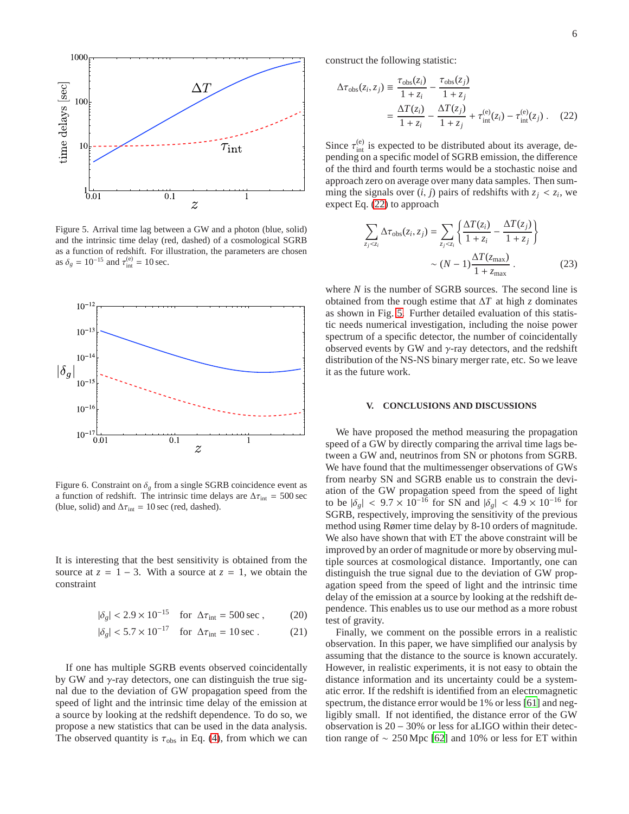

<span id="page-5-0"></span>Figure 5. Arrival time lag between a GW and a photon (blue, solid) and the intrinsic time delay (red, dashed) of a cosmological SGRB as a function of redshift. For illustration, the parameters are chosen as  $\delta_g = 10^{-15}$  and  $\tau_{\text{int}}^{(e)} = 10 \text{ sec.}$ 



<span id="page-5-1"></span>Figure 6. Constraint on  $\delta_{\varphi}$  from a single SGRB coincidence event as a function of redshift. The intrinsic time delays are  $\Delta \tau_{\text{int}} = 500 \text{ sec}$ (blue, solid) and  $\Delta \tau_{\text{int}} = 10 \text{ sec}$  (red, dashed).

It is interesting that the best sensitivity is obtained from the source at  $z = 1 - 3$ . With a source at  $z = 1$ , we obtain the constraint

$$
|\delta_g| < 2.9 \times 10^{-15} \quad \text{for } \Delta \tau_{\text{int}} = 500 \text{ sec}, \tag{20}
$$

$$
|\delta_g| < 5.7 \times 10^{-17} \quad \text{for } \Delta \tau_{\text{int}} = 10 \text{ sec} \,. \tag{21}
$$

If one has multiple SGRB events observed coincidentally by GW and  $\gamma$ -ray detectors, one can distinguish the true signal due to the deviation of GW propagation speed from the speed of light and the intrinsic time delay of the emission at a source by looking at the redshift dependence. To do so, we propose a new statistics that can be used in the data analysis. The observed quantity is  $\tau_{obs}$  in Eq. [\(4\)](#page-1-2), from which we can

construct the following statistic:

<span id="page-5-2"></span>
$$
\Delta \tau_{\text{obs}}(z_i, z_j) \equiv \frac{\tau_{\text{obs}}(z_i)}{1 + z_i} - \frac{\tau_{\text{obs}}(z_j)}{1 + z_j}
$$

$$
= \frac{\Delta T(z_i)}{1 + z_i} - \frac{\Delta T(z_j)}{1 + z_j} + \tau_{\text{int}}^{(e)}(z_i) - \tau_{\text{int}}^{(e)}(z_j) . \quad (22)
$$

Since  $\tau_{\text{int}}^{(e)}$  is expected to be distributed about its average, depending on a specific model of SGRB emission, the difference of the third and fourth terms would be a stochastic noise and approach zero on average over many data samples. Then summing the signals over  $(i, j)$  pairs of redshifts with  $z_j < z_i$ , we expect Eq. [\(22\)](#page-5-2) to approach

$$
\sum_{z_j < z_i} \Delta \tau_{\text{obs}}(z_i, z_j) = \sum_{z_j < z_i} \left\{ \frac{\Delta T(z_i)}{1 + z_i} - \frac{\Delta T(z_j)}{1 + z_j} \right\} \\
\sim (N - 1) \frac{\Delta T(z_{\text{max}})}{1 + z_{\text{max}}} \tag{23}
$$

where *N* is the number of SGRB sources. The second line is obtained from the rough estime that ∆*T* at high *z* dominates as shown in Fig. [5.](#page-5-0) Further detailed evaluation of this statistic needs numerical investigation, including the noise power spectrum of a specific detector, the number of coincidentally observed events by GW and  $\gamma$ -ray detectors, and the redshift distribution of the NS-NS binary merger rate, etc. So we leave it as the future work.

#### **V. CONCLUSIONS AND DISCUSSIONS**

We have proposed the method measuring the propagation speed of a GW by directly comparing the arrival time lags between a GW and, neutrinos from SN or photons from SGRB. We have found that the multimessenger observations of GWs from nearby SN and SGRB enable us to constrain the deviation of the GW propagation speed from the speed of light to be  $|\delta_g|$  < 9.7 × 10<sup>-16</sup> for SN and  $|\delta_g|$  < 4.9 × 10<sup>-16</sup> for SGRB, respectively, improving the sensitivity of the previous method using Rømer time delay by 8-10 orders of magnitude. We also have shown that with ET the above constraint will be improved by an order of magnitude or more by observing multiple sources at cosmological distance. Importantly, one can distinguish the true signal due to the deviation of GW propagation speed from the speed of light and the intrinsic time delay of the emission at a source by looking at the redshift dependence. This enables us to use our method as a more robust test of gravity.

Finally, we comment on the possible errors in a realistic observation. In this paper, we have simplified our analysis by assuming that the distance to the source is known accurately. However, in realistic experiments, it is not easy to obtain the distance information and its uncertainty could be a systematic error. If the redshift is identified from an electromagnetic spectrum, the distance error would be 1% or less [\[61\]](#page-7-14) and negligibly small. If not identified, the distance error of the GW observation is 20 − 30% or less for aLIGO within their detection range of  $\sim 250$  Mpc [\[62\]](#page-7-15) and 10% or less for ET within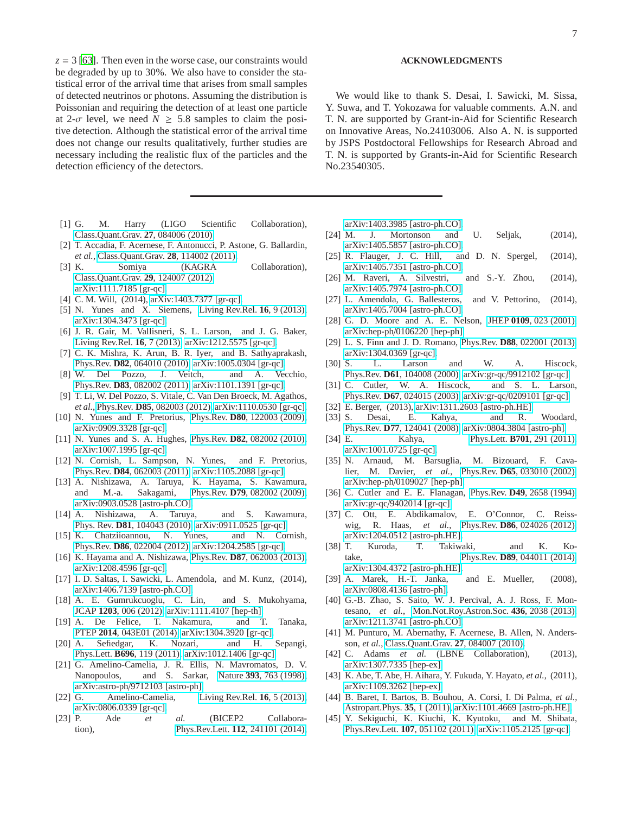$z = 3$  [\[63](#page-7-16)]. Then even in the worse case, our constraints would be degraded by up to 30%. We also have to consider the statistical error of the arrival time that arises from small samples of detected neutrinos or photons. Assuming the distribution is Poissonian and requiring the detection of at least one particle at 2- $\sigma$  level, we need  $N \geq 5.8$  samples to claim the positive detection. Although the statistical error of the arrival time does not change our results qualitatively, further studies are necessary including the realistic flux of the particles and the detection efficiency of the detectors.

- <span id="page-6-0"></span>[1] G. M. Harry (LIGO Scientific Collaboration), [Class.Quant.Grav.](http://dx.doi.org/10.1088/0264-9381/27/8/084006) **27**, 084006 (2010).
- <span id="page-6-1"></span>[2] T. Accadia, F. Acernese, F. Antonucci, P. Astone, G. Ballardin, *et al.*, [Class.Quant.Grav.](http://dx.doi.org/10.1088/0264-9381/28/11/114002) **28**, 114002 (2011).
- <span id="page-6-2"></span>[3] K. Somiya (KAGRA Collaboration), [Class.Quant.Grav.](http://dx.doi.org/ 10.1088/0264-9381/29/12/124007) **29**, 124007 (2012), [arXiv:1111.7185 \[gr-qc\].](http://arxiv.org/abs/1111.7185)
- <span id="page-6-3"></span>[4] C. M. Will, (2014), [arXiv:1403.7377 \[gr-qc\].](http://arxiv.org/abs/1403.7377)
- [5] N. Yunes and X. Siemens, [Living Rev.Rel.](http://dx.doi.org/10.12942/lrr-2013-9) **16**, 9 (2013), [arXiv:1304.3473 \[gr-qc\].](http://arxiv.org/abs/1304.3473)
- <span id="page-6-4"></span>[6] J. R. Gair, M. Vallisneri, S. L. Larson, and J. G. Baker, [Living Rev.Rel.](http://dx.doi.org/10.12942/lrr-2013-7) **16**, 7 (2013), [arXiv:1212.5575 \[gr-qc\].](http://arxiv.org/abs/1212.5575)
- <span id="page-6-5"></span>[7] C. K. Mishra, K. Arun, B. R. Iyer, and B. Sathyaprakash, Phys.Rev. **D82**[, 064010 \(2010\),](http://dx.doi.org/10.1103/PhysRevD.82.064010) [arXiv:1005.0304 \[gr-qc\].](http://arxiv.org/abs/1005.0304)
- [8] W. Del Pozzo, J. Veitch, and A. Vecchio, Phys.Rev. **D83**[, 082002 \(2011\),](http://dx.doi.org/10.1103/PhysRevD.83.082002) [arXiv:1101.1391 \[gr-qc\].](http://arxiv.org/abs/1101.1391)
- [9] T. Li, W. Del Pozzo, S. Vitale, C. Van Den Broeck, M. Agathos, *et al.*, Phys.Rev. **D85**[, 082003 \(2012\),](http://dx.doi.org/10.1103/PhysRevD.85.082003) [arXiv:1110.0530 \[gr-qc\].](http://arxiv.org/abs/1110.0530)
- [10] N. Yunes and F. Pretorius, Phys.Rev. **D80**[, 122003 \(2009\),](http://dx.doi.org/10.1103/PhysRevD.80.122003) [arXiv:0909.3328 \[gr-qc\].](http://arxiv.org/abs/0909.3328)
- [11] N. Yunes and S. A. Hughes, Phys.Rev. **D82**[, 082002 \(2010\),](http://dx.doi.org/10.1103/PhysRevD.82.082002) [arXiv:1007.1995 \[gr-qc\].](http://arxiv.org/abs/1007.1995)
- <span id="page-6-6"></span>[12] N. Cornish, L. Sampson, N. Yunes, and F. Pretorius, Phys.Rev. **D84**[, 062003 \(2011\),](http://dx.doi.org/ 10.1103/PhysRevD.84.062003) [arXiv:1105.2088 \[gr-qc\].](http://arxiv.org/abs/1105.2088)
- <span id="page-6-7"></span>[13] A. Nishizawa, A. Taruya, K. Hayama, S. Kawamura, and M.-a. Sakagami, Phys.Rev. **D79**[, 082002 \(2009\),](http://dx.doi.org/ 10.1103/PhysRevD.79.082002) [arXiv:0903.0528 \[astro-ph.CO\].](http://arxiv.org/abs/0903.0528)
- [14] A. Nishizawa, A. Taruya, and S. Kawamura, Phys. Rev. **D81**[, 104043 \(2010\),](http://dx.doi.org/10.1103/PhysRevD.81.104043) [arXiv:0911.0525 \[gr-qc\].](http://arxiv.org/abs/0911.0525)
- [15] K. Chatziioannou, N. Yunes, and N. Cornish, Phys.Rev. **D86**[, 022004 \(2012\),](http://dx.doi.org/10.1103/PhysRevD.86.022004) [arXiv:1204.2585 \[gr-qc\].](http://arxiv.org/abs/1204.2585)
- <span id="page-6-8"></span>[16] K. Hayama and A. Nishizawa, Phys.Rev. **D87**[, 062003 \(2013\),](http://dx.doi.org/10.1103/PhysRevD.87.062003) [arXiv:1208.4596 \[gr-qc\].](http://arxiv.org/abs/1208.4596)
- <span id="page-6-9"></span>[17] I. D. Saltas, I. Sawicki, L. Amendola, and M. Kunz, (2014), [arXiv:1406.7139 \[astro-ph.CO\].](http://arxiv.org/abs/1406.7139)
- <span id="page-6-10"></span>[18] A. E. Gumrukcuoglu, C. Lin, and S. Mukohyama, JCAP **1203**[, 006 \(2012\),](http://dx.doi.org/10.1088/1475-7516/2012/03/006) [arXiv:1111.4107 \[hep-th\].](http://arxiv.org/abs/1111.4107)
- <span id="page-6-11"></span>[19] A. De Felice, T. Nakamura, and T. Tanaka, PTEP **2014**[, 043E01 \(2014\),](http://dx.doi.org/10.1093/ptep/ptu024) [arXiv:1304.3920 \[gr-qc\].](http://arxiv.org/abs/1304.3920)
- <span id="page-6-12"></span>[20] A. Sefiedgar, K. Nozari, and H. Sepangi, Phys.Lett. **B696**[, 119 \(2011\),](http://dx.doi.org/10.1016/j.physletb.2010.11.067) [arXiv:1012.1406 \[gr-qc\].](http://arxiv.org/abs/1012.1406)
- <span id="page-6-13"></span>[21] G. Amelino-Camelia, J. R. Ellis, N. Mavromatos, D. V. Nanopoulos, and S. Sarkar, Nature **393**[, 763 \(1998\),](http://dx.doi.org/10.1038/31647) arXiv:astro-ph/[9712103 \[astro-ph\].](http://arxiv.org/abs/astro-ph/9712103)
- <span id="page-6-14"></span>[22] G. Amelino-Camelia, [Living Rev.Rel.](http://dx.doi.org/10.12942/lrr-2013-5) **16**, 5 (2013), [arXiv:0806.0339 \[gr-qc\].](http://arxiv.org/abs/0806.0339)
- <span id="page-6-15"></span>[23] P. Ade *et al.* (BICEP2 Collaboration), Phys.Rev.Lett. **112**[, 241101 \(2014\),](http://dx.doi.org/10.1103/PhysRevLett.112.241101)

# **ACKNOWLEDGMENTS**

We would like to thank S. Desai, I. Sawicki, M. Sissa, Y. Suwa, and T. Yokozawa for valuable comments. A.N. and T. N. are supported by Grant-in-Aid for Scientific Research on Innovative Areas, No.24103006. Also A. N. is supported by JSPS Postdoctoral Fellowships for Research Abroad and T. N. is supported by Grants-in-Aid for Scientific Research No.23540305.

[arXiv:1403.3985 \[astro-ph.CO\].](http://arxiv.org/abs/1403.3985)

- <span id="page-6-16"></span>[24] M. J. Mortonson and U. Seljak, (2014), [arXiv:1405.5857 \[astro-ph.CO\].](http://arxiv.org/abs/1405.5857)
- <span id="page-6-17"></span>[25] R. Flauger, J. C. Hill, and D. N. Spergel, (2014), [arXiv:1405.7351 \[astro-ph.CO\].](http://arxiv.org/abs/1405.7351)
- <span id="page-6-18"></span>[26] M. Raveri, A. Silvestri, and S.-Y. Zhou, (2014), [arXiv:1405.7974 \[astro-ph.CO\].](http://arxiv.org/abs/1405.7974)
- <span id="page-6-19"></span>[27] L. Amendola, G. Ballesteros, and V. Pettorino, (2014), [arXiv:1405.7004 \[astro-ph.CO\].](http://arxiv.org/abs/1405.7004)
- <span id="page-6-20"></span>[28] G. D. Moore and A. E. Nelson, JHEP **0109**[, 023 \(2001\),](http://dx.doi.org/10.1088/1126-6708/2001/09/023) arXiv:hep-ph/[0106220 \[hep-ph\].](http://arxiv.org/abs/hep-ph/0106220)
- <span id="page-6-21"></span>[29] L. S. Finn and J. D. Romano, Phys.Rev. **D88**[, 022001 \(2013\),](http://dx.doi.org/10.1103/PhysRevD.88.022001) [arXiv:1304.0369 \[gr-qc\].](http://arxiv.org/abs/1304.0369)
- <span id="page-6-22"></span>[30] S. L. Larson and W. A. Hiscock, Phys.Rev. **D61**[, 104008 \(2000\),](http://dx.doi.org/10.1103/PhysRevD.61.104008) arXiv:gr-qc/[9912102 \[gr-qc\].](http://arxiv.org/abs/gr-qc/9912102)
- <span id="page-6-23"></span>[31] C. Cutler, W. A. Hiscock, and S. L. Larson, Phys.Rev. **D67**[, 024015 \(2003\),](http://dx.doi.org/10.1103/PhysRevD.67.024015) arXiv:gr-qc/[0209101 \[gr-qc\].](http://arxiv.org/abs/gr-qc/0209101)
- <span id="page-6-24"></span>[32] E. Berger, (2013), [arXiv:1311.2603 \[astro-ph.HE\].](http://arxiv.org/abs/1311.2603)
- <span id="page-6-25"></span>[33] S. Desai, E. Kahya, and R. Woodard, Phys.Rev. **D77**[, 124041 \(2008\),](http://dx.doi.org/10.1103/PhysRevD.77.124041) [arXiv:0804.3804 \[astro-ph\].](http://arxiv.org/abs/0804.3804)
- <span id="page-6-26"></span>[34] E. Kahya, Phys.Lett. **B701**[, 291 \(2011\),](http://dx.doi.org/10.1016/j.physletb.2011.05.073) [arXiv:1001.0725 \[gr-qc\].](http://arxiv.org/abs/1001.0725)
- <span id="page-6-27"></span>[35] N. Arnaud, M. Barsuglia, M. Bizouard, F. Cavalier, M. Davier, *et al.*, Phys.Rev. **D65**[, 033010 \(2002\),](http://dx.doi.org/10.1103/PhysRevD.65.033010) arXiv:hep-ph/[0109027 \[hep-ph\].](http://arxiv.org/abs/hep-ph/0109027)
- <span id="page-6-28"></span>[36] C. Cutler and E. E. Flanagan, Phys.Rev. **D49**[, 2658 \(1994\),](http://dx.doi.org/10.1103/PhysRevD.49.2658) arXiv:gr-qc/[9402014 \[gr-qc\].](http://arxiv.org/abs/gr-qc/9402014)
- <span id="page-6-29"></span>[37] C. Ott, E. Abdikamalov, E. O'Connor, C. Reisswig, R. Haas, *et al.*, Phys.Rev. **D86**[, 024026 \(2012\),](http://dx.doi.org/ 10.1103/PhysRevD.86.024026) [arXiv:1204.0512 \[astro-ph.HE\].](http://arxiv.org/abs/1204.0512)
- <span id="page-6-30"></span>[38] T. Kuroda, T. Takiwaki, and K. Kotake, Phys.Rev. **D89**[, 044011 \(2014\),](http://dx.doi.org/10.1103/PhysRevD.89.044011) [arXiv:1304.4372 \[astro-ph.HE\].](http://arxiv.org/abs/1304.4372)
- <span id="page-6-31"></span>[39] A. Marek, H.-T. Janka, and E. Mueller, (2008), [arXiv:0808.4136 \[astro-ph\].](http://arxiv.org/abs/0808.4136)
- <span id="page-6-32"></span>[40] G.-B. Zhao, S. Saito, W. J. Percival, A. J. Ross, F. Montesano, *et al.*, [Mon.Not.Roy.Astron.Soc.](http://dx.doi.org/10.1093/mnras/stt1710) **436**, 2038 (2013), [arXiv:1211.3741 \[astro-ph.CO\].](http://arxiv.org/abs/1211.3741)
- <span id="page-6-33"></span>[41] M. Punturo, M. Abernathy, F. Acernese, B. Allen, N. Andersson, *et al.*, [Class.Quant.Grav.](http://dx.doi.org/10.1088/0264-9381/27/8/084007) **27**, 084007 (2010).
- <span id="page-6-34"></span>[42] C. Adams *et al.* (LBNE Collaboration), (2013), [arXiv:1307.7335 \[hep-ex\].](http://arxiv.org/abs/1307.7335)
- <span id="page-6-35"></span>[43] K. Abe, T. Abe, H. Aihara, Y. Fukuda, Y. Hayato, *et al.*, (2011), [arXiv:1109.3262 \[hep-ex\].](http://arxiv.org/abs/1109.3262)
- <span id="page-6-36"></span>[44] B. Baret, I. Bartos, B. Bouhou, A. Corsi, I. Di Palma, *et al.*, [Astropart.Phys.](http://dx.doi.org/10.1016/j.astropartphys.2011.04.001) **35**, 1 (2011), [arXiv:1101.4669 \[astro-ph.HE\].](http://arxiv.org/abs/1101.4669)
- <span id="page-6-37"></span>[45] Y. Sekiguchi, K. Kiuchi, K. Kyutoku, and M. Shibata, Phys.Rev.Lett. **107**[, 051102 \(2011\),](http://dx.doi.org/10.1103/PhysRevLett.107.051102) [arXiv:1105.2125 \[gr-qc\].](http://arxiv.org/abs/1105.2125)